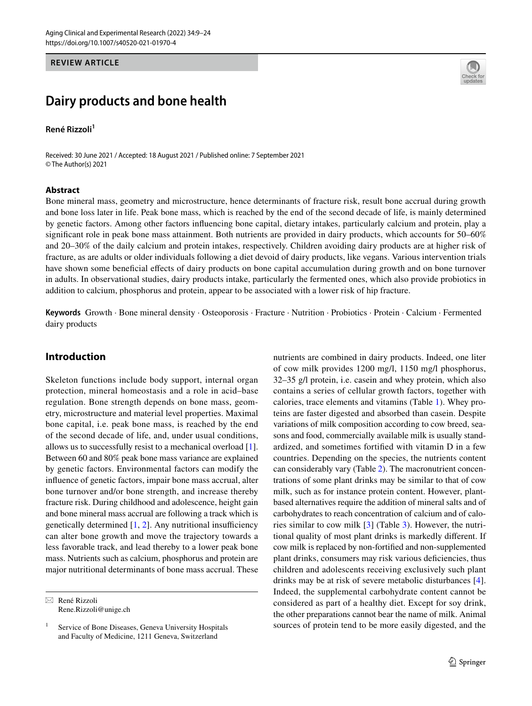#### **REVIEW ARTICLE**

# **Dairy products and bone health**

#### **René Rizzoli<sup>1</sup>**

Received: 30 June 2021 / Accepted: 18 August 2021 / Published online: 7 September 2021 © The Author(s) 2021

#### **Abstract**



Bone mineral mass, geometry and microstructure, hence determinants of fracture risk, result bone accrual during growth and bone loss later in life. Peak bone mass, which is reached by the end of the second decade of life, is mainly determined by genetic factors. Among other factors infuencing bone capital, dietary intakes, particularly calcium and protein, play a signifcant role in peak bone mass attainment. Both nutrients are provided in dairy products, which accounts for 50–60% and 20–30% of the daily calcium and protein intakes, respectively. Children avoiding dairy products are at higher risk of fracture, as are adults or older individuals following a diet devoid of dairy products, like vegans. Various intervention trials have shown some benefcial efects of dairy products on bone capital accumulation during growth and on bone turnover in adults. In observational studies, dairy products intake, particularly the fermented ones, which also provide probiotics in addition to calcium, phosphorus and protein, appear to be associated with a lower risk of hip fracture.

**Keywords** Growth · Bone mineral density · Osteoporosis · Fracture · Nutrition · Probiotics · Protein · Calcium · Fermented dairy products

#### **Introduction**

Skeleton functions include body support, internal organ protection, mineral homeostasis and a role in acid–base regulation. Bone strength depends on bone mass, geometry, microstructure and material level properties. Maximal bone capital, i.e. peak bone mass, is reached by the end of the second decade of life, and, under usual conditions, allows us to successfully resist to a mechanical overload [\[1](#page-12-0)]. Between 60 and 80% peak bone mass variance are explained by genetic factors. Environmental factors can modify the infuence of genetic factors, impair bone mass accrual, alter bone turnover and/or bone strength, and increase thereby fracture risk. During childhood and adolescence, height gain and bone mineral mass accrual are following a track which is genetically determined  $[1, 2]$  $[1, 2]$  $[1, 2]$  $[1, 2]$ . Any nutritional insufficiency can alter bone growth and move the trajectory towards a less favorable track, and lead thereby to a lower peak bone mass. Nutrients such as calcium, phosphorus and protein are major nutritional determinants of bone mass accrual. These

 $\boxtimes$  René Rizzoli Rene.Rizzoli@unige.ch nutrients are combined in dairy products. Indeed, one liter of cow milk provides 1200 mg/l, 1150 mg/l phosphorus, 32–35 g/l protein, i.e. casein and whey protein, which also contains a series of cellular growth factors, together with calories, trace elements and vitamins (Table [1](#page-1-0)). Whey proteins are faster digested and absorbed than casein. Despite variations of milk composition according to cow breed, seasons and food, commercially available milk is usually standardized, and sometimes fortifed with vitamin D in a few countries. Depending on the species, the nutrients content can considerably vary (Table [2](#page-1-1)). The macronutrient concentrations of some plant drinks may be similar to that of cow milk, such as for instance protein content. However, plantbased alternatives require the addition of mineral salts and of carbohydrates to reach concentration of calcium and of calories similar to cow milk [\[3](#page-12-2)] (Table [3\)](#page-1-2). However, the nutritional quality of most plant drinks is markedly diferent. If cow milk is replaced by non-fortifed and non-supplemented plant drinks, consumers may risk various defciencies, thus children and adolescents receiving exclusively such plant drinks may be at risk of severe metabolic disturbances [\[4](#page-12-3)]. Indeed, the supplemental carbohydrate content cannot be considered as part of a healthy diet. Except for soy drink, the other preparations cannot bear the name of milk. Animal sources of protein tend to be more easily digested, and the

<sup>&</sup>lt;sup>1</sup> Service of Bone Diseases, Geneva University Hospitals and Faculty of Medicine, 1211 Geneva, Switzerland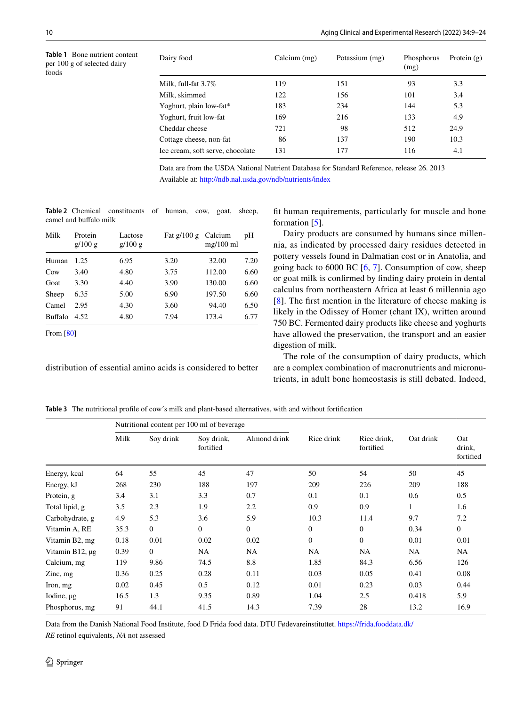<span id="page-1-0"></span>

| Dairy food                       | Calcium (mg) | Potassium (mg) | Phosphorus<br>(mg) | Protein $(g)$ |
|----------------------------------|--------------|----------------|--------------------|---------------|
| Milk, full-fat 3.7%              | 119          | 151            | 93                 | 3.3           |
| Milk, skimmed                    | 122          | 156            | 101                | 3.4           |
| Yoghurt, plain low-fat*          | 183          | 234            | 144                | 5.3           |
| Yoghurt, fruit low-fat           | 169          | 216            | 133                | 4.9           |
| Cheddar cheese                   | 721          | 98             | 512                | 24.9          |
| Cottage cheese, non-fat          | 86           | 137            | 190                | 10.3          |
| Ice cream, soft serve, chocolate | 131          | 177            | 116                | 4.1           |
|                                  |              |                |                    |               |

Data are from the USDA National Nutrient Database for Standard Reference, release 26. 2013 Available at: <http://ndb.nal.usda.gov/ndb/nutrients/index>

<span id="page-1-1"></span>**Table 2** Chemical constituents of human, cow, goat, sheep, camel and buffalo milk

| Milk            | Protein<br>g/100 g | Lactose<br>g/100 g | Fat $g/100 g$ | Calcium<br>$mg/100$ ml | pН   |
|-----------------|--------------------|--------------------|---------------|------------------------|------|
| Human           | 1.25               | 6.95               | 3.20          | 32.00                  | 7.20 |
| C <sub>ow</sub> | 3.40               | 4.80               | 3.75          | 112.00                 | 6.60 |
| Goat            | 3.30               | 4.40               | 3.90          | 130.00                 | 6.60 |
| Sheep           | 6.35               | 5.00               | 6.90          | 197.50                 | 6.60 |
| Camel           | 2.95               | 4.30               | 3.60          | 94.40                  | 6.50 |
| Buffalo         | 4.52               | 4.80               | 7.94          | 173.4                  | 6.77 |

From [\[80\]](#page-14-0)

distribution of essential amino acids is considered to better

ft human requirements, particularly for muscle and bone formation [[5\]](#page-12-4).

Dairy products are consumed by humans since millennia, as indicated by processed dairy residues detected in pottery vessels found in Dalmatian cost or in Anatolia, and going back to 6000 BC [\[6](#page-12-5), [7\]](#page-12-6). Consumption of cow, sheep or goat milk is confrmed by fnding dairy protein in dental calculus from northeastern Africa at least 6 millennia ago [[8\]](#page-12-7). The frst mention in the literature of cheese making is likely in the Odissey of Homer (chant IX), written around 750 BC. Fermented dairy products like cheese and yoghurts have allowed the preservation, the transport and an easier digestion of milk.

The role of the consumption of dairy products, which are a complex combination of macronutrients and micronutrients, in adult bone homeostasis is still debated. Indeed,

<span id="page-1-2"></span>**Table 3** The nutritional profle of cow´s milk and plant-based alternatives, with and without fortifcation

|                   |      | Nutritional content per 100 ml of beverage |                         |              |                |                          |           |                            |
|-------------------|------|--------------------------------------------|-------------------------|--------------|----------------|--------------------------|-----------|----------------------------|
|                   | Milk | Soy drink                                  | Soy drink,<br>fortified | Almond drink | Rice drink     | Rice drink,<br>fortified | Oat drink | Oat<br>drink,<br>fortified |
| Energy, kcal      | 64   | 55                                         | 45                      | 47           | 50             | 54                       | 50        | 45                         |
| Energy, kJ        | 268  | 230                                        | 188                     | 197          | 209            | 226                      | 209       | 188                        |
| Protein, g        | 3.4  | 3.1                                        | 3.3                     | 0.7          | 0.1            | 0.1                      | 0.6       | 0.5                        |
| Total lipid, g    | 3.5  | 2.3                                        | 1.9                     | 2.2          | 0.9            | 0.9                      | 1         | 1.6                        |
| Carbohydrate, g   | 4.9  | 5.3                                        | 3.6                     | 5.9          | 10.3           | 11.4                     | 9.7       | 7.2                        |
| Vitamin A, RE     | 35.3 | $\mathbf{0}$                               | $\mathbf{0}$            | $\mathbf{0}$ | $\overline{0}$ | $\overline{0}$           | 0.34      | $\mathbf{0}$               |
| Vitamin B2, mg    | 0.18 | 0.01                                       | 0.02                    | 0.02         | $\mathbf{0}$   | $\mathbf{0}$             | 0.01      | 0.01                       |
| Vitamin B12, µg   | 0.39 | $\overline{0}$                             | NA                      | NA.          | <b>NA</b>      | NA                       | NA        | NA                         |
| Calcium, mg       | 119  | 9.86                                       | 74.5                    | 8.8          | 1.85           | 84.3                     | 6.56      | 126                        |
| $\chi$ and $\chi$ | 0.36 | 0.25                                       | 0.28                    | 0.11         | 0.03           | 0.05                     | 0.41      | 0.08                       |
| Iron, mg          | 0.02 | 0.45                                       | 0.5                     | 0.12         | 0.01           | 0.23                     | 0.03      | 0.44                       |
| Iodine, µg        | 16.5 | 1.3                                        | 9.35                    | 0.89         | 1.04           | 2.5                      | 0.418     | 5.9                        |
| Phosphorus, mg    | 91   | 44.1                                       | 41.5                    | 14.3         | 7.39           | 28                       | 13.2      | 16.9                       |

Data from the Danish National Food Institute, food D Frida food data. DTU Fødevareinstituttet.<https://frida.fooddata.dk/>

*RE* retinol equivalents, *NA* not assessed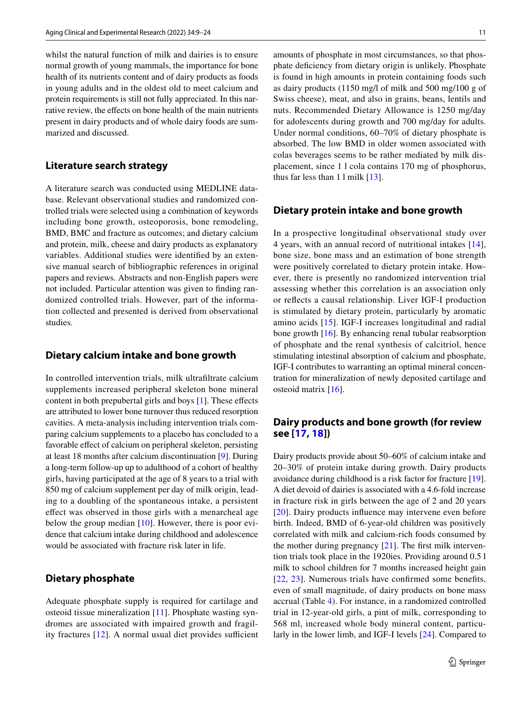whilst the natural function of milk and dairies is to ensure normal growth of young mammals, the importance for bone health of its nutrients content and of dairy products as foods in young adults and in the oldest old to meet calcium and protein requirements is still not fully appreciated. In this narrative review, the efects on bone health of the main nutrients present in dairy products and of whole dairy foods are summarized and discussed.

# **Literature search strategy**

A literature search was conducted using MEDLINE database. Relevant observational studies and randomized controlled trials were selected using a combination of keywords including bone growth, osteoporosis, bone remodeling, BMD, BMC and fracture as outcomes; and dietary calcium and protein, milk, cheese and dairy products as explanatory variables. Additional studies were identifed by an extensive manual search of bibliographic references in original papers and reviews. Abstracts and non-English papers were not included. Particular attention was given to fnding randomized controlled trials. However, part of the information collected and presented is derived from observational studies.

#### **Dietary calcium intake and bone growth**

In controlled intervention trials, milk ultrafltrate calcium supplements increased peripheral skeleton bone mineral content in both prepubertal girls and boys [\[1](#page-12-0)]. These effects are attributed to lower bone turnover thus reduced resorption cavities. A meta-analysis including intervention trials comparing calcium supplements to a placebo has concluded to a favorable effect of calcium on peripheral skeleton, persisting at least 18 months after calcium discontinuation [\[9](#page-12-8)]. During a long-term follow-up up to adulthood of a cohort of healthy girls, having participated at the age of 8 years to a trial with 850 mg of calcium supplement per day of milk origin, leading to a doubling of the spontaneous intake, a persistent efect was observed in those girls with a menarcheal age below the group median [\[10\]](#page-12-9). However, there is poor evidence that calcium intake during childhood and adolescence would be associated with fracture risk later in life.

## **Dietary phosphate**

Adequate phosphate supply is required for cartilage and osteoid tissue mineralization [\[11](#page-12-10)]. Phosphate wasting syndromes are associated with impaired growth and fragility fractures  $[12]$  $[12]$  $[12]$ . A normal usual diet provides sufficient amounts of phosphate in most circumstances, so that phosphate defciency from dietary origin is unlikely. Phosphate is found in high amounts in protein containing foods such as dairy products (1150 mg/l of milk and 500 mg/100 g of Swiss cheese), meat, and also in grains, beans, lentils and nuts. Recommended Dietary Allowance is 1250 mg/day for adolescents during growth and 700 mg/day for adults. Under normal conditions, 60–70% of dietary phosphate is absorbed. The low BMD in older women associated with colas beverages seems to be rather mediated by milk displacement, since 1 l cola contains 170 mg of phosphorus, thus far less than 1 l milk [[13\]](#page-12-12).

#### **Dietary protein intake and bone growth**

In a prospective longitudinal observational study over 4 years, with an annual record of nutritional intakes [[14](#page-12-13)], bone size, bone mass and an estimation of bone strength were positively correlated to dietary protein intake. However, there is presently no randomized intervention trial assessing whether this correlation is an association only or refects a causal relationship. Liver IGF-I production is stimulated by dietary protein, particularly by aromatic amino acids [[15](#page-12-14)]. IGF-I increases longitudinal and radial bone growth [[16\]](#page-12-15). By enhancing renal tubular reabsorption of phosphate and the renal synthesis of calcitriol, hence stimulating intestinal absorption of calcium and phosphate, IGF-I contributes to warranting an optimal mineral concentration for mineralization of newly deposited cartilage and osteoid matrix [\[16](#page-12-15)].

# **Dairy products and bone growth (for review see [\[17,](#page-12-16) [18](#page-12-17)])**

Dairy products provide about 50–60% of calcium intake and 20–30% of protein intake during growth. Dairy products avoidance during childhood is a risk factor for fracture [\[19](#page-12-18)]. A diet devoid of dairies is associated with a 4.6-fold increase in fracture risk in girls between the age of 2 and 20 years [[20\]](#page-12-19). Dairy products infuence may intervene even before birth. Indeed, BMD of 6-year-old children was positively correlated with milk and calcium-rich foods consumed by the mother during pregnancy [[21\]](#page-12-20). The frst milk intervention trials took place in the 1920ies. Providing around 0.5 l milk to school children for 7 months increased height gain [[22](#page-12-21), [23](#page-12-22)]. Numerous trials have confrmed some benefts, even of small magnitude, of dairy products on bone mass accrual (Table [4\)](#page-3-0). For instance, in a randomized controlled trial in 12-year-old girls, a pint of milk, corresponding to 568 ml, increased whole body mineral content, particularly in the lower limb, and IGF-I levels [\[24](#page-12-23)]. Compared to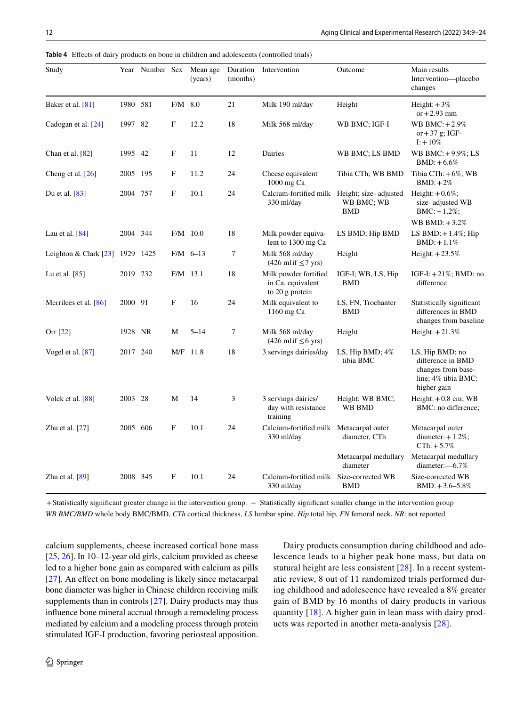| Study                   |          | Year Number Sex |             | Mean age<br>(years) | Duration<br>(months) | Intervention                                                      | Outcome                          | Main results<br>Intervention-placebo<br>changes                                                  |
|-------------------------|----------|-----------------|-------------|---------------------|----------------------|-------------------------------------------------------------------|----------------------------------|--------------------------------------------------------------------------------------------------|
| Baker et al. $[81]$     | 1980 581 |                 | $F/M$ 8.0   |                     | 21                   | Milk 190 ml/day                                                   | Height                           | Height: $+3\%$<br>or $+2.93$ mm                                                                  |
| Cadogan et al. [24]     | 1997 82  |                 | F           | 12.2                | 18                   | Milk 568 ml/day                                                   | WB BMC; IGF-I                    | WB BMC: $+2.9\%$<br>or $+37$ g; IGF-<br>$I: +10\%$                                               |
| Chan et al. $[82]$      | 1995 42  |                 | F           | 11                  | 12                   | Dairies                                                           | WB BMC; LS BMD                   | WB BMC: +9.9%; LS<br>$BMD: +6.6%$                                                                |
| Cheng et al. [26]       | 2005 195 |                 | F           | 11.2                | 24                   | Cheese equivalent<br>1000 mg Ca                                   | Tibia CTh; WB BMD                | Tibia $CTh: +6\%; WB$<br>$BMD: +2\%$                                                             |
| Du et al. $[83]$        | 2004     | 757             | $\mathbf F$ | 10.1                | 24                   | Calcium-fortified milk Height; size- adjusted<br>330 ml/day       | WB BMC; WB<br>BMD                | Height: $+0.6\%$ ;<br>size-adjusted WB<br>$BMC: +1.2\%;$                                         |
|                         |          |                 |             |                     |                      |                                                                   |                                  | WB BMD: $+3.2\%$                                                                                 |
| Lau et al. $[84]$       | 2004 344 |                 |             | $F/M$ 10.0          | 18                   | Milk powder equiva-<br>lent to 1300 mg Ca                         | LS BMD; Hip BMD                  | LS BMD: $+1.4\%$ ; Hip<br>$BMD: +1.1\%$                                                          |
| Leighton & Clark $[23]$ |          | 1929 1425       |             | $F/M$ 6-13          | 7                    | Milk 568 ml/day<br>$(426 \text{ m} \text{hf} \le 7 \text{ yrs})$  | Height                           | Height: $+23.5%$                                                                                 |
| Lu et al. $[85]$        | 2019 232 |                 | $F/M$ 13.1  |                     | 18                   | Milk powder fortified<br>in Ca, equivalent<br>to $20$ g protein   | IGF-I; WB, LS, Hip<br><b>BMD</b> | IGF-I: $+21\%$ ; BMD: no<br>difference                                                           |
| Merrilees et al. $[86]$ | 2000 91  |                 | F           | 16                  | 24                   | Milk equivalent to<br>1160 mg Ca                                  | LS, FN, Trochanter<br><b>BMD</b> | Statistically significant<br>differences in BMD<br>changes from baseline                         |
| Orr [22]                | 1928 NR  |                 | M           | $5 - 14$            | 7                    | Milk 568 ml/day<br>$(426 \text{ m} \text{hf} \leq 6 \text{ yrs})$ | Height                           | Height: $+21.3%$                                                                                 |
| Vogel et al. $[87]$     | 2017 240 |                 | M/F         | 11.8                | 18                   | 3 servings dairies/day                                            | LS, Hip BMD; 4%<br>tibia BMC     | LS, Hip BMD: no<br>difference in BMD<br>changes from base-<br>line; 4% tibia BMC:<br>higher gain |
| Volek et al. $[88]$     | 2003 28  |                 | М           | 14                  | 3                    | 3 servings dairies/<br>day with resistance<br>training            | Height; WB BMC;<br>WB BMD        | Height: $+0.8$ cm; WB<br>BMC: no difference;                                                     |
| Zhu et al. $[27]$       | 2005 606 |                 | F           | 10.1                | 24                   | Calcium-fortified milk Metacarpal outer<br>330 ml/day             | diameter, CTh                    | Metacarpal outer<br>diameter: $+1.2\%$ ;<br>$CTh: +5.7%$                                         |
|                         |          |                 |             |                     |                      |                                                                   | Metacarpal medullary<br>diameter | Metacarpal medullary<br>diameter:-6.7%                                                           |
| Zhu et al. $[89]$       | 2008 345 |                 | F           | 10.1                | 24                   | Calcium-fortified milk Size-corrected WB<br>330 ml/day            | <b>BMD</b>                       | Size-corrected WB<br>$BMD: +3.6 - 5.8\%$                                                         |

<span id="page-3-0"></span>**Table 4** Efects of dairy products on bone in children and adolescents (controlled trials)

+Statistically significant greater change in the intervention group. - Statistically significant smaller change in the intervention group *WB BMC/BMD* whole body BMC/BMD, *CTh* cortical thickness, *LS* lumbar spine. *Hip* total hip, *FN* femoral neck, *NR*: not reported

calcium supplements, cheese increased cortical bone mass [\[25](#page-12-24), [26\]](#page-12-25). In 10–12-year old girls, calcium provided as cheese led to a higher bone gain as compared with calcium as pills [\[27\]](#page-12-26). An effect on bone modeling is likely since metacarpal bone diameter was higher in Chinese children receiving milk supplements than in controls [\[27](#page-12-26)]. Dairy products may thus infuence bone mineral accrual through a remodeling process mediated by calcium and a modeling process through protein stimulated IGF-I production, favoring periosteal apposition.

Dairy products consumption during childhood and adolescence leads to a higher peak bone mass, but data on statural height are less consistent [[28](#page-12-27)]. In a recent systematic review, 8 out of 11 randomized trials performed during childhood and adolescence have revealed a 8% greater gain of BMD by 16 months of dairy products in various quantity [[18](#page-12-17)]. A higher gain in lean mass with dairy products was reported in another meta-analysis [\[28\]](#page-12-27).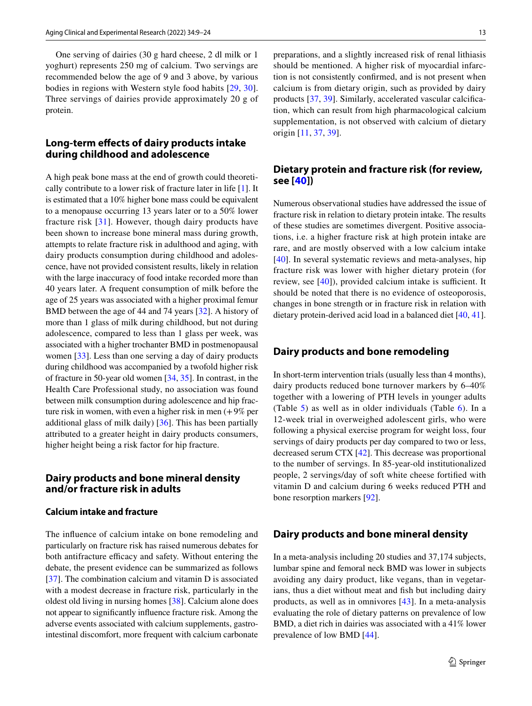One serving of dairies (30 g hard cheese, 2 dl milk or 1 yoghurt) represents 250 mg of calcium. Two servings are recommended below the age of 9 and 3 above, by various bodies in regions with Western style food habits [\[29](#page-12-28), [30](#page-12-29)]. Three servings of dairies provide approximately 20 g of protein.

# **Long‑term efects of dairy products intake during childhood and adolescence**

A high peak bone mass at the end of growth could theoretically contribute to a lower risk of fracture later in life [[1\]](#page-12-0). It is estimated that a 10% higher bone mass could be equivalent to a menopause occurring 13 years later or to a 50% lower fracture risk [[31](#page-12-30)]. However, though dairy products have been shown to increase bone mineral mass during growth, attempts to relate fracture risk in adulthood and aging, with dairy products consumption during childhood and adolescence, have not provided consistent results, likely in relation with the large inaccuracy of food intake recorded more than 40 years later. A frequent consumption of milk before the age of 25 years was associated with a higher proximal femur BMD between the age of 44 and 74 years [\[32](#page-12-31)]. A history of more than 1 glass of milk during childhood, but not during adolescence, compared to less than 1 glass per week, was associated with a higher trochanter BMD in postmenopausal women [\[33\]](#page-13-0). Less than one serving a day of dairy products during childhood was accompanied by a twofold higher risk of fracture in 50-year old women [\[34](#page-13-1), [35\]](#page-13-2). In contrast, in the Health Care Professional study, no association was found between milk consumption during adolescence and hip fracture risk in women, with even a higher risk in men (+9% per additional glass of milk daily) [\[36\]](#page-13-3). This has been partially attributed to a greater height in dairy products consumers, higher height being a risk factor for hip fracture.

# **Dairy products and bone mineral density and/or fracture risk in adults**

# **Calcium intake and fracture**

The infuence of calcium intake on bone remodeling and particularly on fracture risk has raised numerous debates for both antifracture efficacy and safety. Without entering the debate, the present evidence can be summarized as follows [\[37\]](#page-13-4). The combination calcium and vitamin D is associated with a modest decrease in fracture risk, particularly in the oldest old living in nursing homes [\[38](#page-13-5)]. Calcium alone does not appear to signifcantly infuence fracture risk. Among the adverse events associated with calcium supplements, gastrointestinal discomfort, more frequent with calcium carbonate

preparations, and a slightly increased risk of renal lithiasis should be mentioned. A higher risk of myocardial infarction is not consistently confrmed, and is not present when calcium is from dietary origin, such as provided by dairy products [[37](#page-13-4), [39](#page-13-6)]. Similarly, accelerated vascular calcifcation, which can result from high pharmacological calcium supplementation, is not observed with calcium of dietary origin [\[11](#page-12-10), [37,](#page-13-4) [39\]](#page-13-6).

# **Dietary protein and fracture risk (for review, see [\[40\]](#page-13-7))**

Numerous observational studies have addressed the issue of fracture risk in relation to dietary protein intake. The results of these studies are sometimes divergent. Positive associations, i.e. a higher fracture risk at high protein intake are rare, and are mostly observed with a low calcium intake [[40\]](#page-13-7). In several systematic reviews and meta-analyses, hip fracture risk was lower with higher dietary protein (for review, see  $[40]$  $[40]$ ), provided calcium intake is sufficient. It should be noted that there is no evidence of osteoporosis, changes in bone strength or in fracture risk in relation with dietary protein-derived acid load in a balanced diet [[40,](#page-13-7) [41](#page-13-8)].

#### **Dairy products and bone remodeling**

In short-term intervention trials (usually less than 4 months), dairy products reduced bone turnover markers by 6–40% together with a lowering of PTH levels in younger adults (Table [5\)](#page-5-0) as well as in older individuals (Table [6\)](#page-8-0). In a 12-week trial in overweighed adolescent girls, who were following a physical exercise program for weight loss, four servings of dairy products per day compared to two or less, decreased serum CTX [\[42](#page-13-9)]. This decrease was proportional to the number of servings. In 85-year-old institutionalized people, 2 servings/day of soft white cheese fortifed with vitamin D and calcium during 6 weeks reduced PTH and bone resorption markers [\[92](#page-14-10)].

#### **Dairy products and bone mineral density**

In a meta-analysis including 20 studies and 37,174 subjects, lumbar spine and femoral neck BMD was lower in subjects avoiding any dairy product, like vegans, than in vegetarians, thus a diet without meat and fsh but including dairy products, as well as in omnivores [\[43](#page-13-10)]. In a meta-analysis evaluating the role of dietary patterns on prevalence of low BMD, a diet rich in dairies was associated with a 41% lower prevalence of low BMD [[44](#page-13-11)].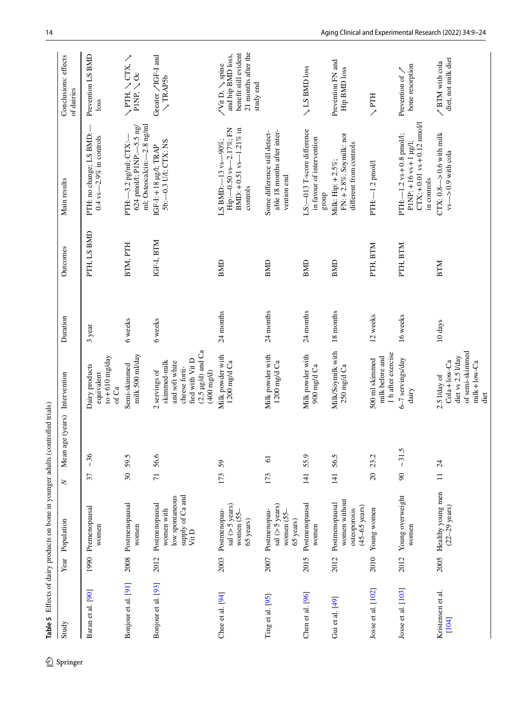<span id="page-5-0"></span>

| Study                      | Year | Population                                                                  | Mean<br>z               | age (years) Intervention                                                                                                                  | Duration  | Outcomes    | Main results                                                                                           | Conclusions: effects<br>of dairies                                                               |
|----------------------------|------|-----------------------------------------------------------------------------|-------------------------|-------------------------------------------------------------------------------------------------------------------------------------------|-----------|-------------|--------------------------------------------------------------------------------------------------------|--------------------------------------------------------------------------------------------------|
| Baran et al. [90]          | 1990 | Premenopausal<br>women                                                      | ~26<br>37               | $to +610$ mg/day<br>Dairy products<br>equivalent<br>of Ca                                                                                 | 3 year    | PTH, LS BMD | PTH: no change; LS BMD:-<br>0.4 vs $-2.9\%$ in controls                                                | Prevention LS BMD<br>loss                                                                        |
| Bonjour et al. [91]        | 2008 | Postmenopausal<br>women                                                     | 59.5<br>$\overline{30}$ | milk 500 ml/day<br>Semi-skimmed                                                                                                           | 6 weeks   | BTM, PTH    | ml; Osteocalcin:-2.8 ng/ml<br>624 pmol/l; $P1NP: -5.5$ ng/<br>PTH: -3.2 pg/ml; CTX:-                   | ノ YLDノ HLAノ<br>$PIR$ , $\searrow$ Oc                                                             |
| Bonjour et al. [93]        | 2012 | supply of $Ca$ and Vit D<br>low spontaneous<br>Postmenopausal<br>women with | 56.6<br>$\overline{71}$ | $(2.5 \ \mu g/d)$ and $Ca$<br>fied with Vit D<br>skimmed-milk<br>and soft white<br>cheese forti-<br>2 servings of<br>$(400 \text{ mg/d})$ | 6 weeks   | IGF-I, BTM  | 5b:-0.3 U/I; CTX: NS<br>IGF-I: +18 µg/l; TRAP                                                          | Greater / IGF-I and<br><b>TRAP5b</b>                                                             |
| Chee et al. [94]           | 2003 | sal $(>5$ years)<br>Postmenopau-<br>women (55-<br>65 years)                 | 59<br>173               | Milk powder with<br>1200 mg/d Ca                                                                                                          | 24 months | <b>BMD</b>  | Hip: - 0.50 vs-2.17%; FN<br>BMD: $+0.51$ vs-1.21% in<br>LS BMD:-13 vs-90%;<br>controls                 | 21 months after the<br>benefit still evident<br>and hip BMD loss,<br>/Vit D, \spine<br>study end |
| Ting et al. [95]           | 2007 | sal $(>5 \text{ years})$<br>Postmenopau-<br>women (55-<br>65 years)         | $\overline{6}$<br>173   | Milk powder with<br>1200 mg/d Ca                                                                                                          | 24 months | <b>BMD</b>  | able 18 months after inter-<br>Some difference still detect-<br>vention end                            |                                                                                                  |
| Chen et al. [96]           | 2015 | Postmenopausal<br>women                                                     | 55.9<br>$\frac{14}{1}$  | Milk powder with<br>900 mg/d Ca                                                                                                           | 24 months | BMD         | LS:-013 T-score difference<br>in favour of intervention<br>group                                       | <b>ALS BMD</b> loss                                                                              |
| Gui et al. [49]            | 2012 | women without<br>Postmenopausal<br>$(45-65 \text{ years})$<br>osteoporosis  | 56.5<br>141             | Milk/Soymilk with<br>250 mg/d Ca                                                                                                          | 18 months | <b>BMD</b>  | FN: +2.8%. Soymilk: not<br>different from controls<br>Milk: Hip: +2.5%;                                | Prevention FN and<br><b>Hip BMD</b> loss                                                         |
| Josse et al. [102]         | 2010 | Young women                                                                 | 23.2<br>20              | 1 h after exercise<br>milk before and<br>500 ml skimmed                                                                                   | 12 weeks  | PTH, BTM    | PTH:-1.2 pmol/l                                                                                        | $\searrow$ PTH                                                                                   |
| Josse et al. [103]         | 2012 | Young overweight<br>women                                                   | ~21.5<br>$\overline{6}$ | 6-7 servings/day<br>dairy                                                                                                                 | 16 weeks  | PTH, BTM    | $CTX: +0.01$ vs + 0.12 nmol/l<br>PTH: $-1.2$ vs $+0.8$ pmol/l;<br>PINP: +16 vs +1 µg/l;<br>in controls | bone resorption<br>Prevention of /                                                               |
| Kristensen et al.<br>[104] | 2005 | Healthy young men<br>$(22-29 \text{ years})$                                | 24<br>$\equiv$          | of semi-skimmed<br>diet vs 2.5 I/day<br>$Cola + low - Ca$<br>$mik + low-Ca$<br>2.5 I/day of<br>diet                                       | 10 days   | <b>BTM</b>  | CTX: $0.8 - > 0.6$ with milk<br>$vs - > 0.9$ with cola                                                 | diet, not milk diet<br>/ BTM with cola                                                           |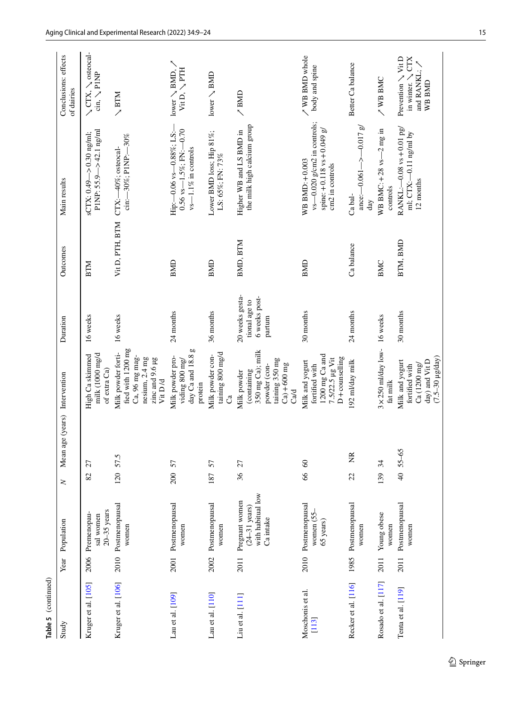| Table 5 (continued)         |      |                                                                             |        |                               |                                                                                                            |                                                             |                 |                                                                                                    |                                                                                |
|-----------------------------|------|-----------------------------------------------------------------------------|--------|-------------------------------|------------------------------------------------------------------------------------------------------------|-------------------------------------------------------------|-----------------|----------------------------------------------------------------------------------------------------|--------------------------------------------------------------------------------|
| Study                       | Year | Population                                                                  | $\geq$ | Mean age (years) Intervention |                                                                                                            | Duration                                                    | Outcomes        | Main results                                                                                       | Conclusions: effects<br>of dairies                                             |
| Kruger et al. [105]         | 2006 | $20 - 35$ years<br>Premenopau-<br>sal women                                 | 82     | 27                            | milk (1000 mg/d<br>High Ca skimmed<br>of extra Ca)                                                         | 16 weeks                                                    | <b>NLIR</b>     | PINP: 55.9 $-$ > 42.1 ng/ml<br>$sCTX: 0.49 - > 0.30$ ng/ml;                                        | $\searrow$ CTX, $\searrow$ osteocal-<br>$\operatorname{cin}$ , $\searrow$ P1NP |
| Kruger et al. [106]         |      | 2010 Postmenopausal<br>women                                                |        | 120 57.5                      | fied with 1200 mg<br>Milk powder forti-<br>Ca, 96 mg mag-<br>nesium, 2.4 mg<br>zinc and 9.6 µg<br>Vit D /d | 16 weeks                                                    | Vit D, PTH, BTM | cin:-30%; PINP:-30%<br>CTX:-40%; osteocal-                                                         | $\searrow$ BTM                                                                 |
| Lau et al. [109]            |      | 2001 Postmenopausal<br>women                                                | 200    | 57                            | 5<br>day Ca and 18.8<br>Milk powder pro-<br>viding 800 mg/<br>protein                                      | 24 months                                                   | <b>BMD</b>      | $0.56$ vs- $-1.5\%$ ; FN: $-0.70$<br>Hip: -0.06 vs-0.88%; LS:-<br>vs-1.1% in controls              | $lower \searrow BMD, \nearrow$<br>Vit D, $\searrow$ PTH                        |
| Lau et al. [110]            |      | 2002 Postmenopausal<br>women                                                | 187    | 57                            | taining $800 \text{ mg/d}$<br>Milk powder con-<br>්                                                        | 36 months                                                   | <b>BMD</b>      | Lower BMD loss; Hip 81%;<br>LS: 65%; FN: 73%                                                       | lower $\searrow$ BMD                                                           |
| Liu et al. [111]            | 2011 | with habitual low<br>Pregnant women<br>$(24-31 \text{ years})$<br>Ca intake | 36     | 27                            | 350 mg Ca); milk<br>taining 350 mg<br>powder (con-<br>$Ca) + 600$ mg<br>(containing<br>Milk powder<br>Cad  | 20 weeks gesta-<br>6 weeks post-<br>tional age to<br>partum | BMD, BTM        | the milk high calcium group<br>Higher WB and LS BMD in                                             | /BMD                                                                           |
| Moschonis et al.<br>$[113]$ | 2010 | Postmenopausal<br>women (55-<br>65 years)                                   | 66     | $60\,$                        | 1200 mg Ca and<br>D+counselling<br>7.5/22.5 µg Vit<br>Milk and yogurt<br>fortified with                    | 30 months                                                   | <b>BMD</b>      | vs-0.020 g/cm2 in controls;<br>spine: $+0.118$ vs $+0.049$ g/<br>WB BMD: +0.003<br>cm2 in controls | / WB BMD whole<br>body and spine                                               |
| Recker et al. [116]         |      | 1985 Postmenopausal<br>women                                                | 22     | ž                             | 192 ml/day milk                                                                                            | 24 months                                                   | Ca balance      | ance: $-0.061 - \ge -0.017$ g/<br>Ca bal-<br>day                                                   | Better Ca balance                                                              |
| Rosado et al. [117]         | 2011 | Young obese<br>women                                                        | 139    | 34                            | $3 \times 250$ ml/day low- 16 weeks<br>fat milk                                                            |                                                             | BMC             | WB BMC: $+28$ vs $-2$ mg in<br>controls                                                            | <b>WB BMC</b>                                                                  |
| Tenta et al. [119]          | 2011 | Postmenopausal<br>women                                                     |        | $40, 55 - 65$                 | $(7.5-30 \mu g/day)$<br>day) and Vit D<br>Milk and yogurt<br>Ca (1200 mg/<br>fortified with                | 30 months                                                   | BTM, BMD        | RANKL:-0.08 vs+0.01 pg/<br>ml; CTX:-0.11 ng/ml by<br>12 months                                     | Prevention \ Vit D<br>in winter. $\setminus$ CTX<br>and RANKL;<br>WB BMD       |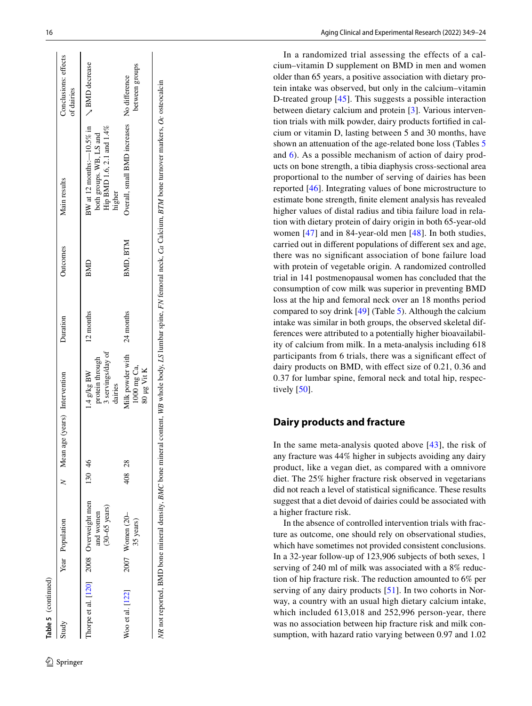| Table 5 (continued)                     |                                      |                                 |                                                                  |           |          |                                                                                                                                                                             |                                    |
|-----------------------------------------|--------------------------------------|---------------------------------|------------------------------------------------------------------|-----------|----------|-----------------------------------------------------------------------------------------------------------------------------------------------------------------------------|------------------------------------|
| Study                                   | Year Population                      | M Mean age (years) Intervention |                                                                  | Duration  | Outcomes | Main results                                                                                                                                                                | Conclusions: effects<br>of dairies |
| Thorpe et al. [120] 2008 Overweight men | $(30-65 \text{ years})$<br>and women | 130 46                          | 3 servings/day of<br>protein through<br>$1.4$ g/kg BW<br>dairies | 12 months | BMD      | BW at 12 months: $-10.5\%$ in $\searrow$ BMD decrease<br>Hip BMD 1.6, 2.1 and 1.4%<br>both groups. WB, LS and<br>higher                                                     |                                    |
| Woo et al. [122]                        | 2007 Women (20-<br>35 years)         | 408 28                          | Milk powder with 24 months<br>1000 mg Ca,<br>80 µg Vit K         |           | BMD, BTM | Overall, small BMD increases No difference                                                                                                                                  | between groups                     |
|                                         |                                      |                                 |                                                                  |           |          | NR not reported, BMD bone mineral density, BMC bone mineral content, WB whole body, LS lumbar spine, FN femoral neck, Ca Calcium, BTM bone turnover markers, Oc osteocalcin |                                    |

In a randomized trial assessing the effects of a cal cium–vitamin D supplement on BMD in men and women older than 65 years, a positive association with dietary pro tein intake was observed, but only in the calcium–vitamin D-treated group [\[45](#page-13-13)]. This suggests a possible interaction between dietary calcium and protein [ [3](#page-12-2)]. Various interven tion trials with milk powder, dairy products fortifed in cal cium or vitamin D, lasting between 5 and 30 months, have shown an attenuation of the age-related bone loss (Tables [5](#page-5-0) and [6](#page-8-0)). As a possible mechanism of action of dairy prod ucts on bone strength, a tibia diaphysis cross-sectional area proportional to the number of serving of dairies has been reported [\[46](#page-13-14)]. Integrating values of bone microstructure to estimate bone strength, fnite element analysis has revealed higher values of distal radius and tibia failure load in rela tion with dietary protein of dairy origin in both 65-year-old women [\[47](#page-13-15)] and in 84-year-old men [[48\]](#page-13-16). In both studies, carried out in diferent populations of diferent sex and age, there was no signifcant association of bone failure load with protein of vegetable origin. A randomized controlled trial in 141 postmenopausal women has concluded that the consumption of cow milk was superior in preventing BMD loss at the hip and femoral neck over an 18 months period compared to soy drink [[49\]](#page-13-12) (Table [5\)](#page-5-0). Although the calcium intake was similar in both groups, the observed skeletal differences were attributed to a potentially higher bioavailability of calcium from milk. In a meta-analysis including 618 participants from 6 trials, there was a signifcant efect of dairy products on BMD, with effect size of 0.21, 0.36 and 0.37 for lumbar spine, femoral neck and total hip, respec tively  $[50]$  $[50]$ .

# **Dairy products and fracture**

In the same meta-analysis quoted above  $[43]$  $[43]$  $[43]$ , the risk of any fracture was 44% higher in subjects avoiding any dairy product, like a vegan diet, as compared with a omnivore diet. The 25% higher fracture risk observed in vegetarians did not reach a level of statistical signifcance. These results suggest that a diet devoid of dairies could be associated with a higher fracture risk.

In the absence of controlled intervention trials with frac ture as outcome, one should rely on observational studies, which have sometimes not provided consistent conclusions. In a 32-year follow-up of 123,906 subjects of both sexes, 1 serving of 240 ml of milk was associated with a 8% reduc tion of hip fracture risk. The reduction amounted to 6% per serving of any dairy products [\[51\]](#page-13-18). In two cohorts in Norway, a country with an usual high dietary calcium intake, which included 613,018 and 252,996 person-year, there was no association between hip fracture risk and milk con sumption, with hazard ratio varying between 0.97 and 1.02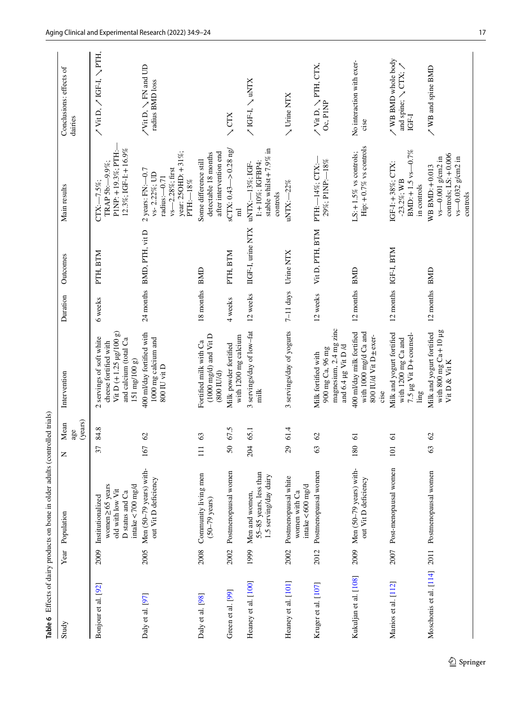<span id="page-8-0"></span>

|                       |      | Table 6 Effects of dairy products on bone in older adults (controlled trials)                        |                |                        |                                                                                                                                                         |               |                           |                                                                                                               |                                                                       |
|-----------------------|------|------------------------------------------------------------------------------------------------------|----------------|------------------------|---------------------------------------------------------------------------------------------------------------------------------------------------------|---------------|---------------------------|---------------------------------------------------------------------------------------------------------------|-----------------------------------------------------------------------|
| Study                 | Year | Population                                                                                           | Z              | (years)<br>Mean<br>age | Intervention                                                                                                                                            | Duration      | Outcomes                  | Main results                                                                                                  | Conclusions: effects of<br>dairies                                    |
| Bonjour et al. [92]   | 2009 | intake<700 mg/d<br>women $\geq 65$ years<br>old with low Vit<br>D status and Ca<br>Institutionalized | 37             | 84.8                   | Vit D $(+ 1.25 \text{ µg}/100 \text{ g})$<br>servings of soft white<br>and calcium (total Ca<br>cheese fortified with<br>151 mg/100 g)<br>$\mathcal{L}$ | 6 weeks       | PTH, BTM                  | 12.3%; IGF-I: + 16.9%<br>PINP: +19.3%; PTH:<br>TRAP 5b: - 9.9%;<br>$CTX: -7.5\%$ ;                            | / Vit N i'-15 乀 io i'A \                                              |
| Daly et al. [97]      | 2005 | Men (50-79 years) with-<br>out Vit D deficiency                                                      | 167            | $\mathcal{O}$          | 400 ml/day fortified with<br>1000 mg calcium and<br>800 IU vit D                                                                                        |               | 24 months BMD, PTH, vit D | year: 250HD: +31%;<br>vs-2.28%; first<br>$2$ years: FN: $-0.7$<br>vs-2.22%; UD<br>radius: $-0.71$<br>PTH:-18% | /Vit D, ヽEN and UD<br>radius BMD loss                                 |
| Daly et al. [98]      | 2008 | Community living men<br>$(50-79 \text{ years})$                                                      | $\Box$         | 63                     | $(1000 \text{ mg/d})$ and $\text{Vi}$ t D<br>Fortified milk with Ca<br>$(800$ IU/d)                                                                     | 18 months BMD |                           | after intervention end<br>detectable 18 months<br>Some difference still                                       |                                                                       |
| Green et al. [99]     | 2002 | Postmenopausal women                                                                                 | 50             | 67.5                   | with 1200 mg calcium<br>Milk powder fortified                                                                                                           | 4 weeks       | PTH, BTM                  | $sCTX: 0.43 \rightarrow 0.28$ ng/<br>$\overline{E}$                                                           | $\searrow$ CTX                                                        |
| Heaney et al. [100]   | 1999 | 55-85 years, less than<br>1.5 serving/day dairy<br>Men and women,                                    | 204            | 65.1                   | 3 servings/day of low-fat<br>milk                                                                                                                       | 12 weeks      | IIGF-I, urine NTX         | stable whilst $+7.9\%$ in<br>I: +10%; IGFBP4:<br>uNTX:-13%; IGF-<br>controls                                  | $\angle$ IGF-I, $\angle$ uNTX                                         |
| Heaney et al. [101]   | 2002 | Postmenopausal white<br>intake $< 600$ mg/d<br>women with Ca                                         | 29             | 61.4                   | 3 servings/day of yogurts                                                                                                                               | $7-11$ days   | Urine NTX                 | uNTX:-22%                                                                                                     | V Urine NTX                                                           |
| Kruger et al. [107]   | 2012 | Postmenopausal women                                                                                 | 63             | $\mathcal{O}$          | magnesium, 2.4 mg zinc<br>and 6.4 µg Vit D /d<br>900 mg Ca, 96 mg<br>Milk fortified with                                                                | 12 weeks      | Vit D, PTH, BTM           | 29%; PINP:-18%<br>PTH:-14%; CTX:-                                                                             | $\nearrow$ Vit D, $\searrow$ PTH, CTX,<br>Oc, PINP                    |
| Kukuljan et al. [108] |      | $2009$ Men (50-79 years) with-<br>out Vit D deficiency                                               | 180            | 61                     | 400 ml/day milk fortified<br>with 1000 mg/d Ca and<br>800 IU/d Vit D ± exer-<br>cise                                                                    | 12 months BMD |                           | Hip: +0.7% vs controls<br>LS: $+1.5\%$ vs controls;                                                           | No interaction with exer-<br>cise                                     |
| Manios et al. [112]   | 2007 | Post-menopausal women                                                                                | $\overline{5}$ | $\overline{6}$         | Milk and yogurt fortified<br>7.5 $\mu$ g Vit D+counsel-<br>with 1200 mg Ca and<br>$\lim g$                                                              |               | 12 months IGF-I, BTM      | $BMD: +1.5$ vs-0.7%<br>IGF-I: +38%; CTX:<br>$-23.2\%$ ; WB<br>in controls                                     | / WB BMD whole body<br>and spine; $\searrow$ CTX; $\nearrow$<br>IGF-I |
|                       |      | Moschonis et al. [114] 2011 Postmenopausal women                                                     | 63             | $\mathcal{O}$          | with 800 mg $Ca+10$ µg<br>Milk and yogurt fortified<br>Vit D & Vit K                                                                                    | 12 months BMD |                           | controls; $LS: +0.006$<br>vs-0.001 g/cm2 in<br>vs-0.032 g/cm2 in<br>WB BMD: +0.013<br>controls                | / WB and spine BMD                                                    |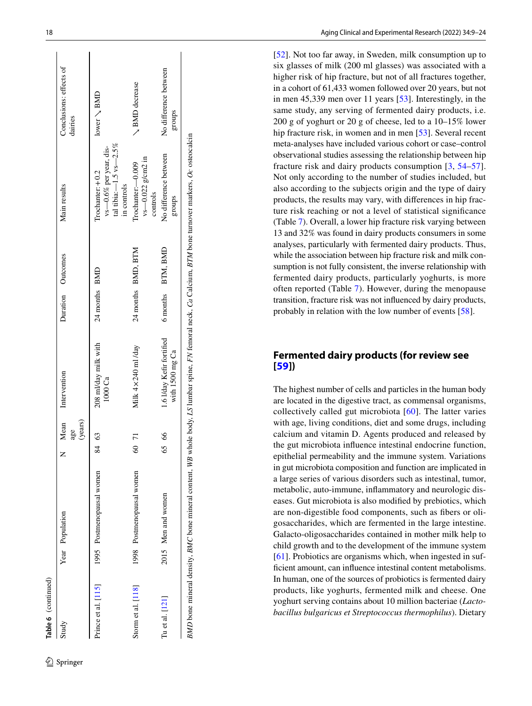| Intervention<br>1000 Ca<br>Mean<br>(years)<br>age<br>$\mathcal{C}^3$<br>$\overline{7}$<br>$\Im$<br>84<br>1998 Postmenopausal women<br>1995 Postmenopausal women<br>Year Population<br>Prince et al. [115]<br>Storm et al. [118]<br>Study |  |                                              |                    |                                                                                              |                                    |
|------------------------------------------------------------------------------------------------------------------------------------------------------------------------------------------------------------------------------------------|--|----------------------------------------------|--------------------|----------------------------------------------------------------------------------------------|------------------------------------|
|                                                                                                                                                                                                                                          |  |                                              | Duration Outcomes  | Main results                                                                                 | Conclusions: effects of<br>dairies |
|                                                                                                                                                                                                                                          |  | 208 ml/day milk with                         | 24 months BMD      | tal tibia: $-1.5$ vs $-2.5\%$<br>vs-0.6% per year, dis-<br>$Irochanter + 0.2$<br>in controls | lower $\setminus$ BMD              |
|                                                                                                                                                                                                                                          |  | Milk $4 \times 240$ ml /day                  | 24 months BMD, BTM | $v_s$ - 0.022 g/cm2 in<br>$Trochanter: -0.009$<br>controls                                   | <b>SND</b> decrease                |
| 8<br>65<br>2015 Men and women<br>Tu et al. $[121]$                                                                                                                                                                                       |  | 1.6 I/day Kefir fortified<br>with 1500 mg Ca | 6 months BTM, BMD  | No difference between<br>stonbs                                                              | No difference between<br>groups    |

[[52\]](#page-13-19). Not too far away, in Sweden, milk consumption up to six glasses of milk (200 ml glasses) was associated with a higher risk of hip fracture, but not of all fractures together, in a cohort of 61,433 women followed over 20 years, but not in men 45,339 men over 11 years [\[53](#page-13-20)]. Interestingly, in the same study, any serving of fermented dairy products, i.e. 200 g of yoghurt or 20 g of cheese, led to a 10–15% lower hip fracture risk, in women and in men [[53\]](#page-13-20). Several recent meta-analyses have included various cohort or case–control observational studies assessing the relationship between hip fracture risk and dairy products consumption [ [3,](#page-12-2) [54](#page-13-21) –[57](#page-13-22)]. Not only according to the number of studies included, but also according to the subjects origin and the type of dairy products, the results may vary, with diferences in hip frac ture risk reaching or not a level of statistical signifcance (Table [7](#page-10-0)). Overall, a lower hip fracture risk varying between 13 and 32% was found in dairy products consumers in some analyses, particularly with fermented dairy products. Thus, while the association between hip fracture risk and milk con sumption is not fully consistent, the inverse relationship with fermented dairy products, particularly yoghurts, is more often reported (Table [7](#page-10-0)). However, during the menopause transition, fracture risk was not infuenced by dairy products, probably in relation with the low number of events [[58](#page-13-23)].

# **[Fer](#page-13-24)mented dairy products (for review see [[59](#page-13-24)])**

The highest number of cells and particles in the human body are located in the digestive tract, as commensal organisms, collectively called gut microbiota [[60](#page-13-25)]. The latter varies with age, living conditions, diet and some drugs, including calcium and vitamin D. Agents produced and released by the gut microbiota infuence intestinal endocrine function, epithelial permeability and the immune system. Variations in gut microbiota composition and function are implicated in a large series of various disorders such as intestinal, tumor, metabolic, auto-immune, infammatory and neurologic dis eases. Gut microbiota is also modifed by prebiotics, which are non-digestible food components, such as fbers or oli gosaccharides, which are fermented in the large intestine. Galacto-oligosaccharides contained in mother milk help to [chil](#page-13-26)d growth and to the development of the immune system [[61\]](#page-13-26). Probiotics are organisms which, when ingested in suffcient amount, can infuence intestinal content metabolisms. In human, one of the sources of probiotics is fermented dairy products, like yoghurts, fermented milk and cheese. One yoghurt serving contains about 10 million bacteriae (*Lacto bacillus bulgaricus et Streptococcus thermophilus*). Dietary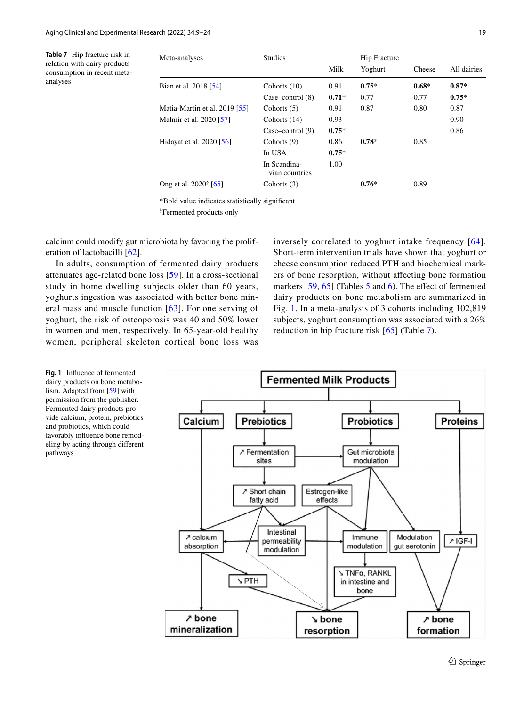<span id="page-10-0"></span>**Table 7** Hip fracture risk in relation with dairy products consumption in recent metaanalyses

| Meta-analyses                     | <b>Studies</b>                 |         | <b>Hip Fracture</b> |         |             |
|-----------------------------------|--------------------------------|---------|---------------------|---------|-------------|
|                                   |                                | Milk    | Yoghurt             | Cheese  | All dairies |
| Bian et al. 2018 [54]             | Cohorts $(10)$                 | 0.91    | $0.75*$             | $0.68*$ | $0.87*$     |
|                                   | Case-control $(8)$             | $0.71*$ | 0.77                | 0.77    | $0.75*$     |
| Matia-Martin et al. 2019 [55]     | Cohorts $(5)$                  | 0.91    | 0.87                | 0.80    | 0.87        |
| Malmir et al. 2020 [57]           | Cohorts $(14)$                 | 0.93    |                     |         | 0.90        |
|                                   | Case–control $(9)$             | $0.75*$ |                     |         | 0.86        |
| Hidayat et al. 2020 [56]          | Cohorts $(9)$                  | 0.86    | $0.78*$             | 0.85    |             |
|                                   | In USA                         | $0.75*$ |                     |         |             |
|                                   | In Scandina-<br>vian countries | 1.00    |                     |         |             |
| Ong et al. 2020 <sup>§</sup> [65] | Cohorts $(3)$                  |         | $0.76*$             | 0.89    |             |

\*Bold value indicates statistically signifcant

§ Fermented products only

calcium could modify gut microbiota by favoring the proliferation of lactobacilli [\[62](#page-13-27)].

In adults, consumption of fermented dairy products attenuates age-related bone loss [[59\]](#page-13-24). In a cross-sectional study in home dwelling subjects older than 60 years, yoghurts ingestion was associated with better bone mineral mass and muscle function [[63\]](#page-13-28). For one serving of yoghurt, the risk of osteoporosis was 40 and 50% lower in women and men, respectively. In 65-year-old healthy women, peripheral skeleton cortical bone loss was inversely correlated to yoghurt intake frequency [[64](#page-13-29)]. Short-term intervention trials have shown that yoghurt or cheese consumption reduced PTH and biochemical markers of bone resorption, without afecting bone formation markers [[59](#page-13-24), [65\]](#page-13-30) (Tables [5](#page-5-0) and [6\)](#page-8-0). The effect of fermented dairy products on bone metabolism are summarized in Fig. [1.](#page-10-1) In a meta-analysis of 3 cohorts including 102,819 subjects, yoghurt consumption was associated with a 26% reduction in hip fracture risk [[65](#page-13-30)] (Table [7](#page-10-0)).

<span id="page-10-1"></span>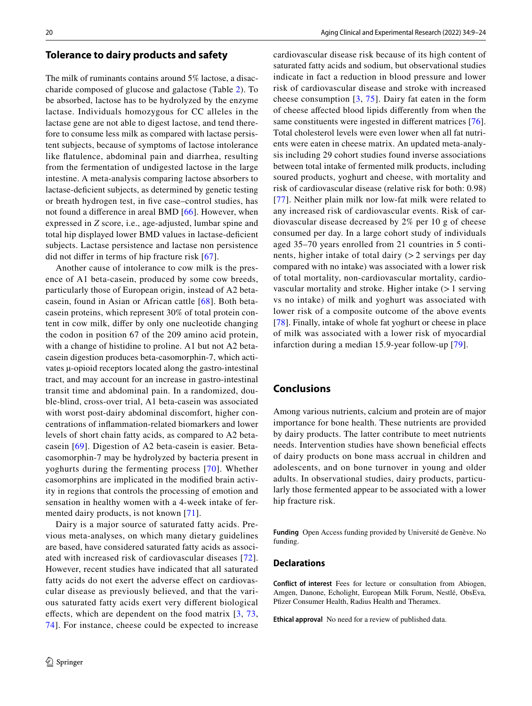#### **Tolerance to dairy products and safety**

The milk of ruminants contains around 5% lactose, a disaccharide composed of glucose and galactose (Table [2](#page-1-1)). To be absorbed, lactose has to be hydrolyzed by the enzyme lactase. Individuals homozygous for CC alleles in the lactase gene are not able to digest lactose, and tend therefore to consume less milk as compared with lactase persistent subjects, because of symptoms of lactose intolerance like fatulence, abdominal pain and diarrhea, resulting from the fermentation of undigested lactose in the large intestine. A meta-analysis comparing lactose absorbers to lactase-defcient subjects, as determined by genetic testing or breath hydrogen test, in fve case–control studies, has not found a diference in areal BMD [\[66\]](#page-13-33). However, when expressed in *Z* score, i.e., age-adjusted, lumbar spine and total hip displayed lower BMD values in lactase-defcient subjects. Lactase persistence and lactase non persistence did not difer in terms of hip fracture risk [[67](#page-13-34)].

Another cause of intolerance to cow milk is the presence of A1 beta-casein, produced by some cow breeds, particularly those of European origin, instead of A2 betacasein, found in Asian or African cattle [[68\]](#page-13-35). Both betacasein proteins, which represent 30% of total protein content in cow milk, difer by only one nucleotide changing the codon in position 67 of the 209 amino acid protein, with a change of histidine to proline. A1 but not A2 betacasein digestion produces beta-casomorphin-7, which activates µ-opioid receptors located along the gastro-intestinal tract, and may account for an increase in gastro-intestinal transit time and abdominal pain. In a randomized, double-blind, cross-over trial, A1 beta-casein was associated with worst post-dairy abdominal discomfort, higher concentrations of infammation-related biomarkers and lower levels of short chain fatty acids, as compared to A2 betacasein [[69\]](#page-14-24). Digestion of A2 beta-casein is easier. Betacasomorphin-7 may be hydrolyzed by bacteria present in yoghurts during the fermenting process [[70\]](#page-14-25). Whether casomorphins are implicated in the modifed brain activity in regions that controls the processing of emotion and sensation in healthy women with a 4-week intake of fermented dairy products, is not known [[71](#page-14-26)].

Dairy is a major source of saturated fatty acids. Previous meta-analyses, on which many dietary guidelines are based, have considered saturated fatty acids as associated with increased risk of cardiovascular diseases [[72](#page-14-27)]. However, recent studies have indicated that all saturated fatty acids do not exert the adverse effect on cardiovascular disease as previously believed, and that the various saturated fatty acids exert very diferent biological effects, which are dependent on the food matrix  $[3, 73,$  $[3, 73,$  $[3, 73,$  $[3, 73,$ [74\]](#page-14-29). For instance, cheese could be expected to increase cardiovascular disease risk because of its high content of saturated fatty acids and sodium, but observational studies indicate in fact a reduction in blood pressure and lower risk of cardiovascular disease and stroke with increased cheese consumption [[3,](#page-12-2) [75](#page-14-30)]. Dairy fat eaten in the form of cheese afected blood lipids diferently from when the same constituents were ingested in different matrices [[76](#page-14-31)]. Total cholesterol levels were even lower when all fat nutrients were eaten in cheese matrix. An updated meta-analysis including 29 cohort studies found inverse associations between total intake of fermented milk products, including soured products, yoghurt and cheese, with mortality and risk of cardiovascular disease (relative risk for both: 0.98) [[77](#page-14-32)]. Neither plain milk nor low-fat milk were related to any increased risk of cardiovascular events. Risk of cardiovascular disease decreased by 2% per 10 g of cheese consumed per day. In a large cohort study of individuals aged 35–70 years enrolled from 21 countries in 5 continents, higher intake of total dairy  $(2 \times 2 \text{ servings per day})$ compared with no intake) was associated with a lower risk of total mortality, non-cardiovascular mortality, cardiovascular mortality and stroke. Higher intake  $(>1$  serving vs no intake) of milk and yoghurt was associated with lower risk of a composite outcome of the above events [[78\]](#page-14-33). Finally, intake of whole fat yoghurt or cheese in place of milk was associated with a lower risk of myocardial infarction during a median 15.9-year follow-up [[79](#page-14-34)].

# **Conclusions**

Among various nutrients, calcium and protein are of major importance for bone health. These nutrients are provided by dairy products. The latter contribute to meet nutrients needs. Intervention studies have shown benefcial efects of dairy products on bone mass accrual in children and adolescents, and on bone turnover in young and older adults. In observational studies, dairy products, particularly those fermented appear to be associated with a lower hip fracture risk.

**Funding** Open Access funding provided by Université de Genève. No funding.

#### **Declarations**

**Conflict of interest** Fees for lecture or consultation from Abiogen, Amgen, Danone, Echolight, European Milk Forum, Nestlé, ObsEva, Pfizer Consumer Health, Radius Health and Theramex.

**Ethical approval** No need for a review of published data.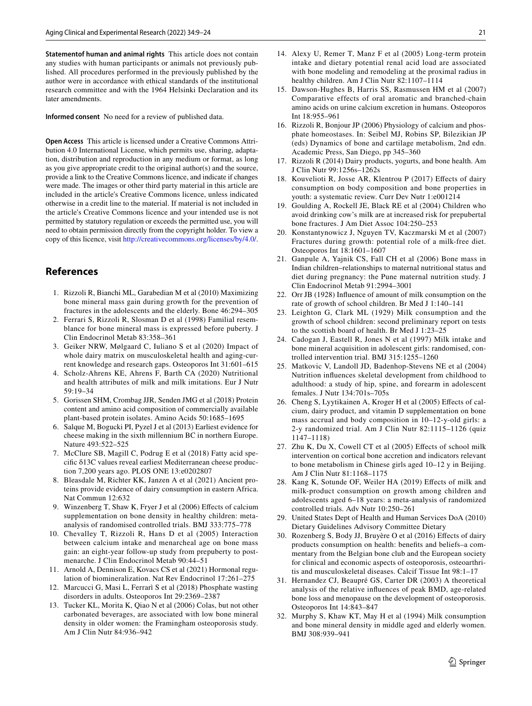**Statementof human and animal rights** This article does not contain any studies with human participants or animals not previously published. All procedures performed in the previously published by the author were in accordance with ethical standards of the institutional research committee and with the 1964 Helsinki Declaration and its later amendments.

**Informed consent** No need for a review of published data.

**Open Access** This article is licensed under a Creative Commons Attribution 4.0 International License, which permits use, sharing, adaptation, distribution and reproduction in any medium or format, as long as you give appropriate credit to the original author(s) and the source, provide a link to the Creative Commons licence, and indicate if changes were made. The images or other third party material in this article are included in the article's Creative Commons licence, unless indicated otherwise in a credit line to the material. If material is not included in the article's Creative Commons licence and your intended use is not permitted by statutory regulation or exceeds the permitted use, you will need to obtain permission directly from the copyright holder. To view a copy of this licence, visit <http://creativecommons.org/licenses/by/4.0/>.

## **References**

- <span id="page-12-0"></span>1. Rizzoli R, Bianchi ML, Garabedian M et al (2010) Maximizing bone mineral mass gain during growth for the prevention of fractures in the adolescents and the elderly. Bone 46:294–305
- <span id="page-12-1"></span>2. Ferrari S, Rizzoli R, Slosman D et al (1998) Familial resemblance for bone mineral mass is expressed before puberty. J Clin Endocrinol Metab 83:358–361
- <span id="page-12-2"></span>3. Geiker NRW, Mølgaard C, Iuliano S et al (2020) Impact of whole dairy matrix on musculoskeletal health and aging-current knowledge and research gaps. Osteoporos Int 31:601–615
- <span id="page-12-3"></span>4. Scholz-Ahrens KE, Ahrens F, Barth CA (2020) Nutritional and health attributes of milk and milk imitations. Eur J Nutr 59:19–34
- <span id="page-12-4"></span>5. Gorissen SHM, Crombag JJR, Senden JMG et al (2018) Protein content and amino acid composition of commercially available plant-based protein isolates. Amino Acids 50:1685–1695
- <span id="page-12-5"></span>6. Salque M, Bogucki PI, Pyzel J et al (2013) Earliest evidence for cheese making in the sixth millennium BC in northern Europe. Nature 493:522–525
- <span id="page-12-6"></span>7. McClure SB, Magill C, Podrug E et al (2018) Fatty acid specifc δ13C values reveal earliest Mediterranean cheese production 7,200 years ago. PLOS ONE 13:e0202807
- <span id="page-12-7"></span>8. Bleasdale M, Richter KK, Janzen A et al (2021) Ancient proteins provide evidence of dairy consumption in eastern Africa. Nat Commun 12:632
- <span id="page-12-8"></span>9. Winzenberg T, Shaw K, Fryer J et al (2006) Efects of calcium supplementation on bone density in healthy children: metaanalysis of randomised controlled trials. BMJ 333:775–778
- <span id="page-12-9"></span>10. Chevalley T, Rizzoli R, Hans D et al (2005) Interaction between calcium intake and menarcheal age on bone mass gain: an eight-year follow-up study from prepuberty to postmenarche. J Clin Endocrinol Metab 90:44–51
- <span id="page-12-10"></span>11. Arnold A, Dennison E, Kovacs CS et al (2021) Hormonal regulation of biomineralization. Nat Rev Endocrinol 17:261–275
- <span id="page-12-11"></span>12. Marcucci G, Masi L, Ferrarì S et al (2018) Phosphate wasting disorders in adults. Osteoporos Int 29:2369–2387
- <span id="page-12-12"></span>13. Tucker KL, Morita K, Qiao N et al (2006) Colas, but not other carbonated beverages, are associated with low bone mineral density in older women: the Framingham osteoporosis study. Am J Clin Nutr 84:936–942
- <span id="page-12-13"></span>14. Alexy U, Remer T, Manz F et al (2005) Long-term protein intake and dietary potential renal acid load are associated with bone modeling and remodeling at the proximal radius in healthy children. Am J Clin Nutr 82:1107–1114
- <span id="page-12-14"></span>15. Dawson-Hughes B, Harris SS, Rasmussen HM et al (2007) Comparative effects of oral aromatic and branched-chain amino acids on urine calcium excretion in humans. Osteoporos Int 18:955–961
- <span id="page-12-15"></span>16. Rizzoli R, Bonjour JP (2006) Physiology of calcium and phosphate homeostases. In: Seibel MJ, Robins SP, Bilezikian JP (eds) Dynamics of bone and cartilage metabolism, 2nd edn. Academic Press, San Diego, pp 345–360
- <span id="page-12-16"></span>17. Rizzoli R (2014) Dairy products, yogurts, and bone health. Am J Clin Nutr 99:1256s–1262s
- <span id="page-12-17"></span>18. Kouvelioti R, Josse AR, Klentrou P (2017) Efects of dairy consumption on body composition and bone properties in youth: a systematic review. Curr Dev Nutr 1:e001214
- <span id="page-12-18"></span>19. Goulding A, Rockell JE, Black RE et al (2004) Children who avoid drinking cow's milk are at increased risk for prepubertal bone fractures. J Am Diet Assoc 104:250–253
- <span id="page-12-19"></span>20. Konstantynowicz J, Nguyen TV, Kaczmarski M et al (2007) Fractures during growth: potential role of a milk-free diet. Osteoporos Int 18:1601–1607
- <span id="page-12-20"></span>21. Ganpule A, Yajnik CS, Fall CH et al (2006) Bone mass in Indian children–relationships to maternal nutritional status and diet during pregnancy: the Pune maternal nutrition study. J Clin Endocrinol Metab 91:2994–3001
- <span id="page-12-21"></span>22. Orr JB (1928) Infuence of amount of milk consumption on the rate of growth of school children. Br Med J 1:140–141
- <span id="page-12-22"></span>23. Leighton G, Clark ML (1929) Milk consumption and the growth of school children: second preliminary report on tests to the scottish board of health. Br Med J 1:23–25
- <span id="page-12-23"></span>24. Cadogan J, Eastell R, Jones N et al (1997) Milk intake and bone mineral acquisition in adolescent girls: randomised, controlled intervention trial. BMJ 315:1255–1260
- <span id="page-12-24"></span>25. Matkovic V, Landoll JD, Badenhop-Stevens NE et al (2004) Nutrition infuences skeletal development from childhood to adulthood: a study of hip, spine, and forearm in adolescent females. J Nutr 134:701s–705s
- <span id="page-12-25"></span>26. Cheng S, Lyytikainen A, Kroger H et al (2005) Efects of calcium, dairy product, and vitamin D supplementation on bone mass accrual and body composition in 10–12-y-old girls: a 2-y randomized trial. Am J Clin Nutr 82:1115–1126 (quiz 1147–1118)
- <span id="page-12-26"></span>27. Zhu K, Du X, Cowell CT et al (2005) Efects of school milk intervention on cortical bone accretion and indicators relevant to bone metabolism in Chinese girls aged 10–12 y in Beijing. Am J Clin Nutr 81:1168–1175
- <span id="page-12-27"></span>28. Kang K, Sotunde OF, Weiler HA (2019) Efects of milk and milk-product consumption on growth among children and adolescents aged 6–18 years: a meta-analysis of randomized controlled trials. Adv Nutr 10:250–261
- <span id="page-12-28"></span>29. United States Dept of Health and Human Services DoA (2010) Dietary Guidelines Advisory Committee Dietary
- <span id="page-12-29"></span>30. Rozenberg S, Body JJ, Bruyère O et al (2016) Efects of dairy products consumption on health: benefts and beliefs–a commentary from the Belgian bone club and the European society for clinical and economic aspects of osteoporosis, osteoarthritis and musculoskeletal diseases. Calcif Tissue Int 98:1–17
- <span id="page-12-30"></span>31. Hernandez CJ, Beaupré GS, Carter DR (2003) A theoretical analysis of the relative infuences of peak BMD, age-related bone loss and menopause on the development of osteoporosis. Osteoporos Int 14:843–847
- <span id="page-12-31"></span>32. Murphy S, Khaw KT, May H et al (1994) Milk consumption and bone mineral density in middle aged and elderly women. BMJ 308:939–941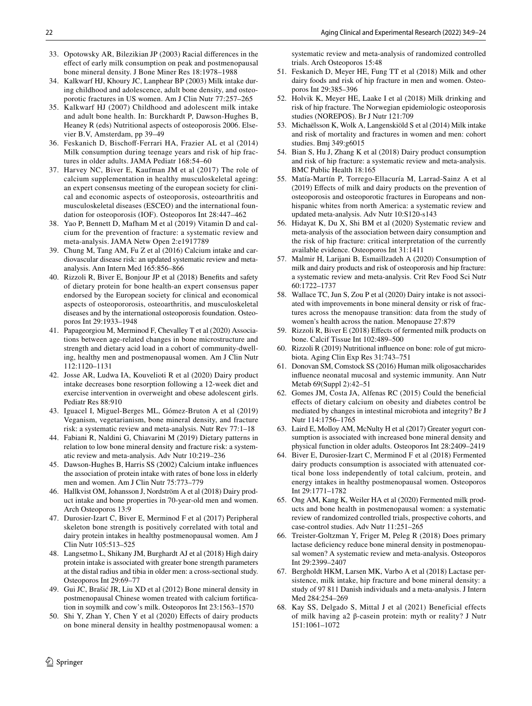<span id="page-13-0"></span>33. Opotowsky AR, Bilezikian JP (2003) Racial diferences in the efect of early milk consumption on peak and postmenopausal bone mineral density. J Bone Miner Res 18:1978–1988

<span id="page-13-1"></span>34. Kalkwarf HJ, Khoury JC, Lanphear BP (2003) Milk intake during childhood and adolescence, adult bone density, and osteoporotic fractures in US women. Am J Clin Nutr 77:257–265

- <span id="page-13-2"></span>35. Kalkwarf HJ (2007) Childhood and adolescent milk intake and adult bone health. In: Burckhardt P, Dawson-Hughes B, Heaney R (eds) Nutritional aspects of osteoporosis 2006. Elsevier B.V, Amsterdam, pp 39–49
- <span id="page-13-3"></span>36. Feskanich D, Bischof-Ferrari HA, Frazier AL et al (2014) Milk consumption during teenage years and risk of hip fractures in older adults. JAMA Pediatr 168:54–60
- <span id="page-13-4"></span>37. Harvey NC, Biver E, Kaufman JM et al (2017) The role of calcium supplementation in healthy musculoskeletal ageing: an expert consensus meeting of the european society for clinical and economic aspects of osteoporosis, osteoarthritis and musculoskeletal diseases (ESCEO) and the international foundation for osteoporosis (IOF). Osteoporos Int 28:447–462
- <span id="page-13-5"></span>38. Yao P, Bennett D, Mafham M et al (2019) Vitamin D and calcium for the prevention of fracture: a systematic review and meta-analysis. JAMA Netw Open 2:e1917789
- <span id="page-13-6"></span>39. Chung M, Tang AM, Fu Z et al (2016) Calcium intake and cardiovascular disease risk: an updated systematic review and metaanalysis. Ann Intern Med 165:856–866
- <span id="page-13-7"></span>40. Rizzoli R, Biver E, Bonjour JP et al (2018) Benefts and safety of dietary protein for bone health-an expert consensus paper endorsed by the European society for clinical and economical aspects of osteopororosis, osteoarthritis, and musculoskeletal diseases and by the international osteoporosis foundation. Osteoporos Int 29:1933–1948
- <span id="page-13-8"></span>41. Papageorgiou M, Merminod F, Chevalley T et al (2020) Associations between age-related changes in bone microstructure and strength and dietary acid load in a cohort of community-dwelling, healthy men and postmenopausal women. Am J Clin Nutr 112:1120–1131
- <span id="page-13-9"></span>42. Josse AR, Ludwa IA, Kouvelioti R et al (2020) Dairy product intake decreases bone resorption following a 12-week diet and exercise intervention in overweight and obese adolescent girls. Pediatr Res 88:910
- <span id="page-13-10"></span>43. Iguacel I, Miguel-Berges ML, Gómez-Bruton A et al (2019) Veganism, vegetarianism, bone mineral density, and fracture risk: a systematic review and meta-analysis. Nutr Rev 77:1–18
- <span id="page-13-11"></span>44. Fabiani R, Naldini G, Chiavarini M (2019) Dietary patterns in relation to low bone mineral density and fracture risk: a systematic review and meta-analysis. Adv Nutr 10:219–236
- <span id="page-13-13"></span>45. Dawson-Hughes B, Harris SS (2002) Calcium intake infuences the association of protein intake with rates of bone loss in elderly men and women. Am J Clin Nutr 75:773–779
- <span id="page-13-14"></span>46. Hallkvist OM, Johansson J, Nordström A et al (2018) Dairy product intake and bone properties in 70-year-old men and women. Arch Osteoporos 13:9
- <span id="page-13-15"></span>47. Durosier-Izart C, Biver E, Merminod F et al (2017) Peripheral skeleton bone strength is positively correlated with total and dairy protein intakes in healthy postmenopausal women. Am J Clin Nutr 105:513–525
- <span id="page-13-16"></span>48. Langsetmo L, Shikany JM, Burghardt AJ et al (2018) High dairy protein intake is associated with greater bone strength parameters at the distal radius and tibia in older men: a cross-sectional study. Osteoporos Int 29:69–77
- <span id="page-13-12"></span>49. Gui JC, Brašić JR, Liu XD et al (2012) Bone mineral density in postmenopausal Chinese women treated with calcium fortifcation in soymilk and cow's milk. Osteoporos Int 23:1563–1570
- <span id="page-13-17"></span>50. Shi Y, Zhan Y, Chen Y et al (2020) Efects of dairy products on bone mineral density in healthy postmenopausal women: a

systematic review and meta-analysis of randomized controlled trials. Arch Osteoporos 15:48

- <span id="page-13-18"></span>51. Feskanich D, Meyer HE, Fung TT et al (2018) Milk and other dairy foods and risk of hip fracture in men and women. Osteoporos Int 29:385–396
- <span id="page-13-19"></span>52. Holvik K, Meyer HE, Laake I et al (2018) Milk drinking and risk of hip fracture. The Norwegian epidemiologic osteoporosis studies (NOREPOS). Br J Nutr 121:709
- <span id="page-13-20"></span>53. Michaëlsson K, Wolk A, Langenskiöld S et al (2014) Milk intake and risk of mortality and fractures in women and men: cohort studies. Bmj 349:g6015
- <span id="page-13-21"></span>54. Bian S, Hu J, Zhang K et al (2018) Dairy product consumption and risk of hip fracture: a systematic review and meta-analysis. BMC Public Health 18:165
- <span id="page-13-31"></span>55. Matía-Martín P, Torrego-Ellacuría M, Larrad-Sainz A et al (2019) Efects of milk and dairy products on the prevention of osteoporosis and osteoporotic fractures in Europeans and nonhispanic whites from north America: a systematic review and updated meta-analysis. Adv Nutr 10:S120-s143
- <span id="page-13-32"></span>56. Hidayat K, Du X, Shi BM et al (2020) Systematic review and meta-analysis of the association between dairy consumption and the risk of hip fracture: critical interpretation of the currently available evidence. Osteoporos Int 31:1411
- <span id="page-13-22"></span>57. Malmir H, Larijani B, Esmaillzadeh A (2020) Consumption of milk and dairy products and risk of osteoporosis and hip fracture: a systematic review and meta-analysis. Crit Rev Food Sci Nutr 60:1722–1737
- <span id="page-13-23"></span>58. Wallace TC, Jun S, Zou P et al (2020) Dairy intake is not associated with improvements in bone mineral density or risk of fractures across the menopause transition: data from the study of women's health across the nation. Menopause 27:879
- <span id="page-13-24"></span>59. Rizzoli R, Biver E (2018) Efects of fermented milk products on bone. Calcif Tissue Int 102:489–500
- <span id="page-13-25"></span>60. Rizzoli R (2019) Nutritional infuence on bone: role of gut microbiota. Aging Clin Exp Res 31:743–751
- <span id="page-13-26"></span>61. Donovan SM, Comstock SS (2016) Human milk oligosaccharides infuence neonatal mucosal and systemic immunity. Ann Nutr Metab 69(Suppl 2):42–51
- <span id="page-13-27"></span>62. Gomes JM, Costa JA, Alfenas RC (2015) Could the benefcial efects of dietary calcium on obesity and diabetes control be mediated by changes in intestinal microbiota and integrity? Br J Nutr 114:1756–1765
- <span id="page-13-28"></span>63. Laird E, Molloy AM, McNulty H et al (2017) Greater yogurt consumption is associated with increased bone mineral density and physical function in older adults. Osteoporos Int 28:2409–2419
- <span id="page-13-29"></span>64. Biver E, Durosier-Izart C, Merminod F et al (2018) Fermented dairy products consumption is associated with attenuated cortical bone loss independently of total calcium, protein, and energy intakes in healthy postmenopausal women. Osteoporos Int 29:1771–1782
- <span id="page-13-30"></span>65. Ong AM, Kang K, Weiler HA et al (2020) Fermented milk products and bone health in postmenopausal women: a systematic review of randomized controlled trials, prospective cohorts, and case-control studies. Adv Nutr 11:251–265
- <span id="page-13-33"></span>66. Treister-Goltzman Y, Friger M, Peleg R (2018) Does primary lactase deficiency reduce bone mineral density in postmenopausal women? A systematic review and meta-analysis. Osteoporos Int 29:2399–2407
- <span id="page-13-34"></span>67. Bergholdt HKM, Larsen MK, Varbo A et al (2018) Lactase persistence, milk intake, hip fracture and bone mineral density: a study of 97 811 Danish individuals and a meta-analysis. J Intern Med 284:254–269
- <span id="page-13-35"></span>68. Kay SS, Delgado S, Mittal J et al (2021) Beneficial effects of milk having a2 β-casein protein: myth or reality? J Nutr 151:1061–1072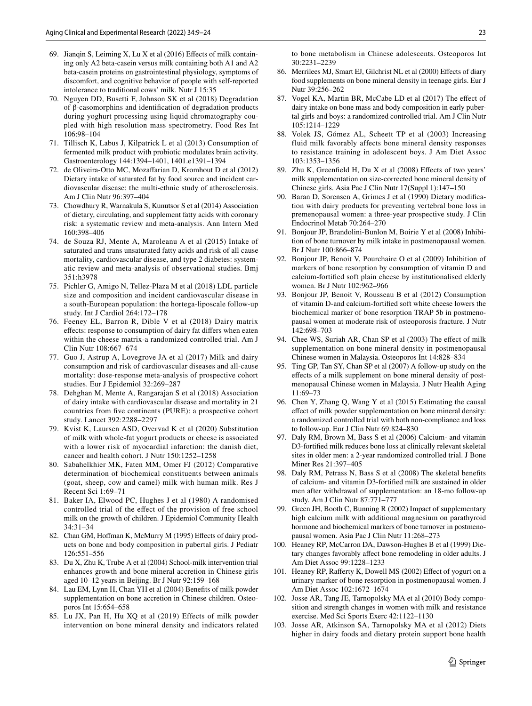- <span id="page-14-24"></span>69. Jianqin S, Leiming X, Lu X et al (2016) Efects of milk containing only A2 beta-casein versus milk containing both A1 and A2 beta-casein proteins on gastrointestinal physiology, symptoms of discomfort, and cognitive behavior of people with self-reported intolerance to traditional cows' milk. Nutr J 15:35
- <span id="page-14-25"></span>70. Nguyen DD, Busetti F, Johnson SK et al (2018) Degradation of β-casomorphins and identifcation of degradation products during yoghurt processing using liquid chromatography coupled with high resolution mass spectrometry. Food Res Int 106:98–104
- <span id="page-14-26"></span>71. Tillisch K, Labus J, Kilpatrick L et al (2013) Consumption of fermented milk product with probiotic modulates brain activity. Gastroenterology 144:1394–1401, 1401.e1391–1394
- <span id="page-14-27"></span>72. de Oliveira-Otto MC, Mozafarian D, Kromhout D et al (2012) Dietary intake of saturated fat by food source and incident cardiovascular disease: the multi-ethnic study of atherosclerosis. Am J Clin Nutr 96:397–404
- <span id="page-14-28"></span>73. Chowdhury R, Warnakula S, Kunutsor S et al (2014) Association of dietary, circulating, and supplement fatty acids with coronary risk: a systematic review and meta-analysis. Ann Intern Med 160:398–406
- <span id="page-14-29"></span>74. de Souza RJ, Mente A, Maroleanu A et al (2015) Intake of saturated and trans unsaturated fatty acids and risk of all cause mortality, cardiovascular disease, and type 2 diabetes: systematic review and meta-analysis of observational studies. Bmj 351:h3978
- <span id="page-14-30"></span>75. Pichler G, Amigo N, Tellez-Plaza M et al (2018) LDL particle size and composition and incident cardiovascular disease in a south-European population: the hortega-liposcale follow-up study. Int J Cardiol 264:172–178
- <span id="page-14-31"></span>76. Feeney EL, Barron R, Dible V et al (2018) Dairy matrix efects: response to consumption of dairy fat difers when eaten within the cheese matrix-a randomized controlled trial. Am J Clin Nutr 108:667–674
- <span id="page-14-32"></span>77. Guo J, Astrup A, Lovegrove JA et al (2017) Milk and dairy consumption and risk of cardiovascular diseases and all-cause mortality: dose-response meta-analysis of prospective cohort studies. Eur J Epidemiol 32:269–287
- <span id="page-14-33"></span>78. Dehghan M, Mente A, Rangarajan S et al (2018) Association of dairy intake with cardiovascular disease and mortality in 21 countries from fve continents (PURE): a prospective cohort study. Lancet 392:2288–2297
- <span id="page-14-34"></span>79. Kvist K, Laursen ASD, Overvad K et al (2020) Substitution of milk with whole-fat yogurt products or cheese is associated with a lower risk of myocardial infarction: the danish diet, cancer and health cohort. J Nutr 150:1252–1258
- <span id="page-14-0"></span>80. Sabahelkhier MK, Faten MM, Omer FJ (2012) Comparative determination of biochemical constituents between animals (goat, sheep, cow and camel) milk with human milk. Res J Recent Sci 1:69–71
- <span id="page-14-1"></span>81. Baker IA, Elwood PC, Hughes J et al (1980) A randomised controlled trial of the efect of the provision of free school milk on the growth of children. J Epidemiol Community Health 34:31–34
- <span id="page-14-2"></span>82. Chan GM, Hoffman K, McMurry M (1995) Effects of dairy products on bone and body composition in pubertal girls. J Pediatr 126:551–556
- <span id="page-14-3"></span>83. Du X, Zhu K, Trube A et al (2004) School-milk intervention trial enhances growth and bone mineral accretion in Chinese girls aged 10–12 years in Beijing. Br J Nutr 92:159–168
- <span id="page-14-4"></span>84. Lau EM, Lynn H, Chan YH et al (2004) Benefts of milk powder supplementation on bone accretion in Chinese children. Osteoporos Int 15:654–658
- <span id="page-14-5"></span>Lu JX, Pan H, Hu XQ et al (2019) Effects of milk powder intervention on bone mineral density and indicators related

to bone metabolism in Chinese adolescents. Osteoporos Int 30:2231–2239

- <span id="page-14-6"></span>86. Merrilees MJ, Smart EJ, Gilchrist NL et al (2000) Efects of diary food supplements on bone mineral density in teenage girls. Eur J Nutr 39:256–262
- <span id="page-14-7"></span>87. Vogel KA, Martin BR, McCabe LD et al (2017) The efect of dairy intake on bone mass and body composition in early pubertal girls and boys: a randomized controlled trial. Am J Clin Nutr 105:1214–1229
- <span id="page-14-8"></span>88. Volek JS, Gómez AL, Scheett TP et al (2003) Increasing fluid milk favorably affects bone mineral density responses to resistance training in adolescent boys. J Am Diet Assoc 103:1353–1356
- <span id="page-14-9"></span>89. Zhu K, Greenfeld H, Du X et al (2008) Efects of two years' milk supplementation on size-corrected bone mineral density of Chinese girls. Asia Pac J Clin Nutr 17(Suppl 1):147–150
- <span id="page-14-11"></span>90. Baran D, Sorensen A, Grimes J et al (1990) Dietary modifcation with dairy products for preventing vertebral bone loss in premenopausal women: a three-year prospective study. J Clin Endocrinol Metab 70:264–270
- <span id="page-14-12"></span>91. Bonjour JP, Brandolini-Bunlon M, Boirie Y et al (2008) Inhibition of bone turnover by milk intake in postmenopausal women. Br J Nutr 100:866–874
- <span id="page-14-10"></span>92. Bonjour JP, Benoit V, Pourchaire O et al (2009) Inhibition of markers of bone resorption by consumption of vitamin D and calcium-fortifed soft plain cheese by institutionalised elderly women. Br J Nutr 102:962–966
- <span id="page-14-13"></span>93. Bonjour JP, Benoit V, Rousseau B et al (2012) Consumption of vitamin D-and calcium-fortifed soft white cheese lowers the biochemical marker of bone resorption TRAP 5b in postmenopausal women at moderate risk of osteoporosis fracture. J Nutr 142:698–703
- <span id="page-14-14"></span>94. Chee WS, Suriah AR, Chan SP et al (2003) The efect of milk supplementation on bone mineral density in postmenopausal Chinese women in Malaysia. Osteoporos Int 14:828–834
- <span id="page-14-15"></span>95. Ting GP, Tan SY, Chan SP et al (2007) A follow-up study on the efects of a milk supplement on bone mineral density of postmenopausal Chinese women in Malaysia. J Nutr Health Aging 11:69–73
- <span id="page-14-16"></span>96. Chen Y, Zhang Q, Wang Y et al (2015) Estimating the causal efect of milk powder supplementation on bone mineral density: a randomized controlled trial with both non-compliance and loss to follow-up. Eur J Clin Nutr 69:824–830
- <span id="page-14-19"></span>97. Daly RM, Brown M, Bass S et al (2006) Calcium- and vitamin D3-fortifed milk reduces bone loss at clinically relevant skeletal sites in older men: a 2-year randomized controlled trial. J Bone Miner Res 21:397–405
- <span id="page-14-20"></span>98. Daly RM, Petrass N, Bass S et al (2008) The skeletal benefts of calcium- and vitamin D3-fortifed milk are sustained in older men after withdrawal of supplementation: an 18-mo follow-up study. Am J Clin Nutr 87:771–777
- <span id="page-14-21"></span>99. Green JH, Booth C, Bunning R (2002) Impact of supplementary high calcium milk with additional magnesium on parathyroid hormone and biochemical markers of bone turnover in postmenopausal women. Asia Pac J Clin Nutr 11:268–273
- <span id="page-14-22"></span>100. Heaney RP, McCarron DA, Dawson-Hughes B et al (1999) Dietary changes favorably afect bone remodeling in older adults. J Am Diet Assoc 99:1228–1233
- <span id="page-14-23"></span>101. Heaney RP, Raferty K, Dowell MS (2002) Efect of yogurt on a urinary marker of bone resorption in postmenopausal women. J Am Diet Assoc 102:1672–1674
- <span id="page-14-17"></span>102. Josse AR, Tang JE, Tarnopolsky MA et al (2010) Body composition and strength changes in women with milk and resistance exercise. Med Sci Sports Exerc 42:1122–1130
- <span id="page-14-18"></span>103. Josse AR, Atkinson SA, Tarnopolsky MA et al (2012) Diets higher in dairy foods and dietary protein support bone health